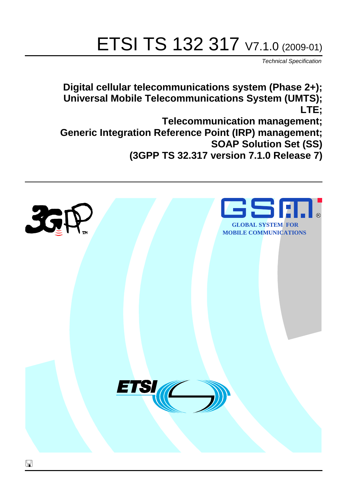# ETSI TS 132 317 V7.1.0 (2009-01)

*Technical Specification*

**Digital cellular telecommunications system (Phase 2+); Universal Mobile Telecommunications System (UMTS); LTE;**

**Telecommunication management; Generic Integration Reference Point (IRP) management; SOAP Solution Set (SS) (3GPP TS 32.317 version 7.1.0 Release 7)**

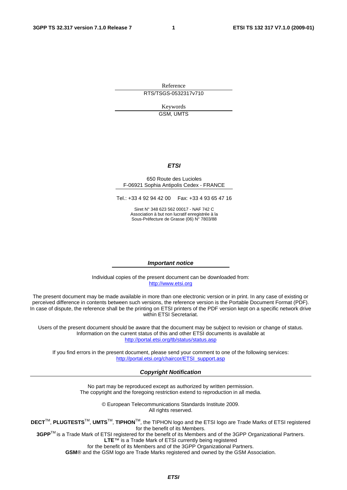Reference RTS/TSGS-0532317v710

> Keywords GSM, UMTS

#### *ETSI*

#### 650 Route des Lucioles F-06921 Sophia Antipolis Cedex - FRANCE

Tel.: +33 4 92 94 42 00 Fax: +33 4 93 65 47 16

Siret N° 348 623 562 00017 - NAF 742 C Association à but non lucratif enregistrée à la Sous-Préfecture de Grasse (06) N° 7803/88

#### *Important notice*

Individual copies of the present document can be downloaded from: [http://www.etsi.org](http://www.etsi.org/)

The present document may be made available in more than one electronic version or in print. In any case of existing or perceived difference in contents between such versions, the reference version is the Portable Document Format (PDF). In case of dispute, the reference shall be the printing on ETSI printers of the PDF version kept on a specific network drive within ETSI Secretariat.

Users of the present document should be aware that the document may be subject to revision or change of status. Information on the current status of this and other ETSI documents is available at <http://portal.etsi.org/tb/status/status.asp>

If you find errors in the present document, please send your comment to one of the following services: [http://portal.etsi.org/chaircor/ETSI\\_support.asp](http://portal.etsi.org/chaircor/ETSI_support.asp)

#### *Copyright Notification*

No part may be reproduced except as authorized by written permission. The copyright and the foregoing restriction extend to reproduction in all media.

> © European Telecommunications Standards Institute 2009. All rights reserved.

**DECT**TM, **PLUGTESTS**TM, **UMTS**TM, **TIPHON**TM, the TIPHON logo and the ETSI logo are Trade Marks of ETSI registered for the benefit of its Members.

**3GPP**TM is a Trade Mark of ETSI registered for the benefit of its Members and of the 3GPP Organizational Partners. **LTE**™ is a Trade Mark of ETSI currently being registered

for the benefit of its Members and of the 3GPP Organizational Partners.

**GSM**® and the GSM logo are Trade Marks registered and owned by the GSM Association.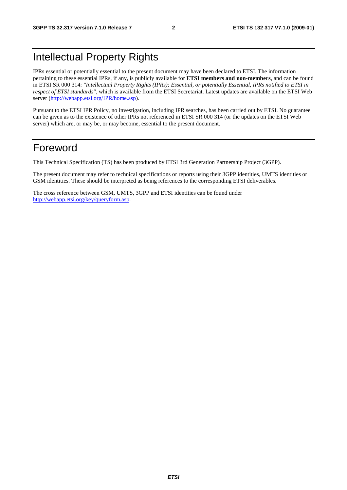### Intellectual Property Rights

IPRs essential or potentially essential to the present document may have been declared to ETSI. The information pertaining to these essential IPRs, if any, is publicly available for **ETSI members and non-members**, and can be found in ETSI SR 000 314: *"Intellectual Property Rights (IPRs); Essential, or potentially Essential, IPRs notified to ETSI in respect of ETSI standards"*, which is available from the ETSI Secretariat. Latest updates are available on the ETSI Web server [\(http://webapp.etsi.org/IPR/home.asp\)](http://webapp.etsi.org/IPR/home.asp).

Pursuant to the ETSI IPR Policy, no investigation, including IPR searches, has been carried out by ETSI. No guarantee can be given as to the existence of other IPRs not referenced in ETSI SR 000 314 (or the updates on the ETSI Web server) which are, or may be, or may become, essential to the present document.

### Foreword

This Technical Specification (TS) has been produced by ETSI 3rd Generation Partnership Project (3GPP).

The present document may refer to technical specifications or reports using their 3GPP identities, UMTS identities or GSM identities. These should be interpreted as being references to the corresponding ETSI deliverables.

The cross reference between GSM, UMTS, 3GPP and ETSI identities can be found under [http://webapp.etsi.org/key/queryform.asp.](http://webapp.etsi.org/key/queryform.asp)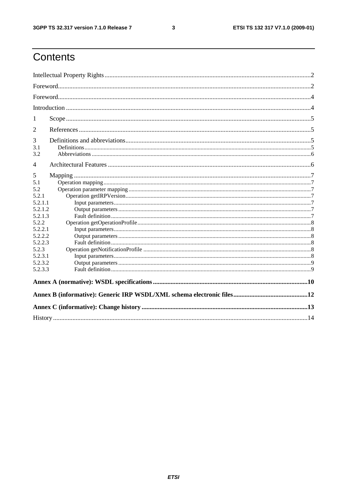$\mathbf{3}$ 

### Contents

| 1                                                                                                                                             |  |  |  |  |  |
|-----------------------------------------------------------------------------------------------------------------------------------------------|--|--|--|--|--|
| $\overline{2}$                                                                                                                                |  |  |  |  |  |
| 3<br>3.1<br>3.2                                                                                                                               |  |  |  |  |  |
| 4                                                                                                                                             |  |  |  |  |  |
| 5<br>5.1<br>5.2<br>5.2.1<br>5.2.1.1<br>5.2.1.2<br>5.2.1.3<br>5.2.2<br>5.2.2.1<br>5.2.2.2<br>5.2.2.3<br>5.2.3<br>5.2.3.1<br>5.2.3.2<br>5.2.3.3 |  |  |  |  |  |
|                                                                                                                                               |  |  |  |  |  |
|                                                                                                                                               |  |  |  |  |  |
|                                                                                                                                               |  |  |  |  |  |
|                                                                                                                                               |  |  |  |  |  |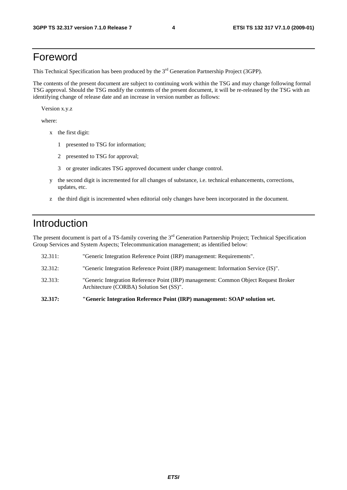### Foreword

This Technical Specification has been produced by the 3<sup>rd</sup> Generation Partnership Project (3GPP).

The contents of the present document are subject to continuing work within the TSG and may change following formal TSG approval. Should the TSG modify the contents of the present document, it will be re-released by the TSG with an identifying change of release date and an increase in version number as follows:

Version x.y.z

where:

- x the first digit:
	- 1 presented to TSG for information;
	- 2 presented to TSG for approval;
	- 3 or greater indicates TSG approved document under change control.
- y the second digit is incremented for all changes of substance, i.e. technical enhancements, corrections, updates, etc.
- z the third digit is incremented when editorial only changes have been incorporated in the document.

### Introduction

The present document is part of a TS-family covering the 3<sup>rd</sup> Generation Partnership Project; Technical Specification Group Services and System Aspects; Telecommunication management; as identified below:

| 32.317: | "Generic Integration Reference Point (IRP) management: SOAP solution set.                                                       |
|---------|---------------------------------------------------------------------------------------------------------------------------------|
| 32.313: | "Generic Integration Reference Point (IRP) management: Common Object Request Broker<br>Architecture (CORBA) Solution Set (SS)". |
| 32.312: | "Generic Integration Reference Point (IRP) management: Information Service (IS)".                                               |
| 32.311: | "Generic Integration Reference Point (IRP) management: Requirements".                                                           |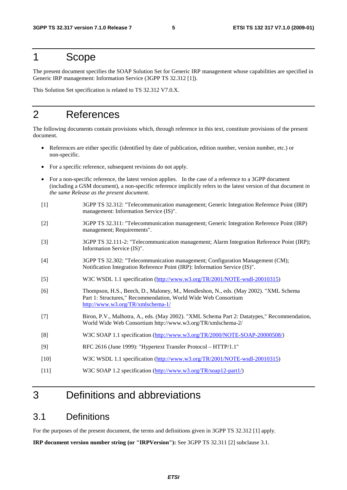### 1 Scope

The present document specifies the SOAP Solution Set for Generic IRP management whose capabilities are specified in Generic IRP management: Information Service (3GPP TS 32.312 [1]).

This Solution Set specification is related to TS 32.312 V7.0.X.

### 2 References

The following documents contain provisions which, through reference in this text, constitute provisions of the present document.

- References are either specific (identified by date of publication, edition number, version number, etc.) or non-specific.
- For a specific reference, subsequent revisions do not apply.
- For a non-specific reference, the latest version applies. In the case of a reference to a 3GPP document (including a GSM document), a non-specific reference implicitly refers to the latest version of that document *in the same Release as the present document*.
- [1] 3GPP TS 32.312: "Telecommunication management; Generic Integration Reference Point (IRP) management: Information Service (IS)".
- [2] 3GPP TS 32.311: "Telecommunication management; Generic Integration Reference Point (IRP) management; Requirements".
- [3] 3GPP TS 32.111-2: "Telecommunication management; Alarm Integration Reference Point (IRP); Information Service (IS)".
- [4] 3GPP TS 32.302: "Telecommunication management; Configuration Management (CM); Notification Integration Reference Point (IRP): Information Service (IS)".
- [5] W3C WSDL 1.1 specification [\(http://www.w3.org/TR/2001/NOTE-wsdl-20010315](http://www.w3.org/TR/2001/NOTE-wsdl-20010315))
- [6] Thompson, H.S., Beech, D., Maloney, M., Mendleshon, N., eds. (May 2002). "XML Schema Part 1: Structures," Recommendation, World Wide Web Consortium <http://www.w3.org/TR/xmlschema-1/>
- [7] Biron, P.V., Malhotra, A., eds. (May 2002). "XML Schema Part 2: Datatypes," Recommendation, World Wide Web Consortium http://www.w3.org/TR/xmlschema-2/
- [8] W3C SOAP 1.1 specification [\(http://www.w3.org/TR/2000/NOTE-SOAP-20000508/](http://www.w3.org/TR/2000/NOTE-SOAP-20000508/))
- [9] RFC 2616 (June 1999): "Hypertext Transfer Protocol HTTP/1.1"
- [10] W3C WSDL 1.1 specification [\(http://www.w3.org/TR/2001/NOTE-wsdl-20010315](http://www.w3.org/TR/wsdl))
- [11] W3C SOAP 1.2 specification [\(http://www.w3.org/TR/soap12-part1/\)](http://www.w3.org/TR/soap12-part1/)

### 3 Definitions and abbreviations

### 3.1 Definitions

For the purposes of the present document, the terms and definitions given in 3GPP TS 32.312 [1] apply.

**IRP document version number string (or "IRPVersion"):** See 3GPP TS 32.311 [2] subclause 3.1.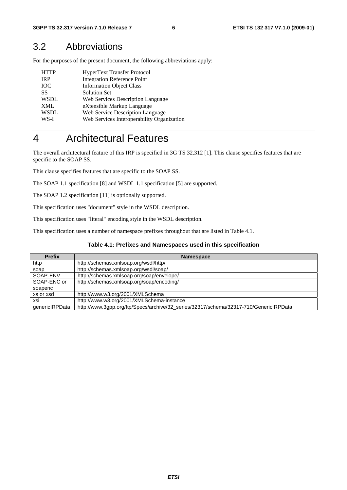### 3.2 Abbreviations

For the purposes of the present document, the following abbreviations apply:

| <b>HTTP</b> | <b>HyperText Transfer Protocol</b>         |
|-------------|--------------------------------------------|
| <b>IRP</b>  | <b>Integration Reference Point</b>         |
| <b>IOC</b>  | <b>Information Object Class</b>            |
| SS          | <b>Solution Set</b>                        |
| <b>WSDL</b> | Web Services Description Language          |
| <b>XML</b>  | eXtensible Markup Language                 |
| WSDL        | Web Service Description Language           |
| WS-I        | Web Services Interoperability Organization |

### 4 Architectural Features

The overall architectural feature of this IRP is specified in 3G TS 32.312 [1]. This clause specifies features that are specific to the SOAP SS.

This clause specifies features that are specific to the SOAP SS.

The SOAP 1.1 specification [8] and WSDL 1.1 specification [5] are supported.

The SOAP 1.2 specification [11] is optionally supported.

This specification uses "document" style in the WSDL description.

This specification uses "literal" encoding style in the WSDL description.

This specification uses a number of namespace prefixes throughout that are listed in Table 4.1.

#### **Table 4.1: Prefixes and Namespaces used in this specification**

| <b>Prefix</b>  | <b>Namespace</b>                                                                      |  |  |  |
|----------------|---------------------------------------------------------------------------------------|--|--|--|
| http           | http://schemas.xmlsoap.org/wsdl/http/                                                 |  |  |  |
| soap           | http://schemas.xmlsoap.org/wsdl/soap/                                                 |  |  |  |
| SOAP-ENV       | http://schemas.xmlsoap.org/soap/envelope/                                             |  |  |  |
| SOAP-ENC or    | http://schemas.xmlsoap.org/soap/encoding/                                             |  |  |  |
| soapenc        |                                                                                       |  |  |  |
| xs or xsd      | http://www.w3.org/2001/XMLSchema                                                      |  |  |  |
| xsi            | http://www.w3.org/2001/XMLSchema-instance                                             |  |  |  |
| genericlRPData | http://www.3gpp.org/ftp/Specs/archive/32_series/32317/schema/32317-710/GenericlRPData |  |  |  |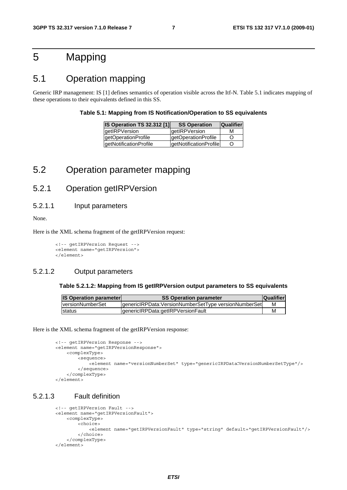### 5 Mapping

### 5.1 Operation mapping

Generic IRP management: IS [1] defines semantics of operation visible across the Itf-N. Table 5.1 indicates mapping of these operations to their equivalents defined in this SS.

#### **Table 5.1: Mapping from IS Notification/Operation to SS equivalents**

| <b>IS Operation TS 32.312 [1]</b> | <b>SS Operation</b>    | <b>Qualifier</b> |
|-----------------------------------|------------------------|------------------|
| <b>detIRPVersion</b>              | qetIRPVersion          | м                |
| getOperationProfile               | getOperationProfile    | Ő                |
| getNotificationProfile            | getNotificationProfile | Ő                |

### 5.2 Operation parameter mapping

### 5.2.1 Operation getIRPVersion

5.2.1.1 Input parameters

None.

Here is the XML schema fragment of the getIRPVersion request:

<!-- getIRPVersion Request --> <element name="getIRPVersion"> </element>

#### 5.2.1.2 Output parameters

#### **Table 5.2.1.2: Mapping from IS getIRPVersion output parameters to SS equivalents**

| <b>IS Operation parameter</b> | <b>SS Operation parameter</b>                        | <b>Qualifier</b> |
|-------------------------------|------------------------------------------------------|------------------|
| <b>IversionNumberSet</b>      | genericlRPData:VersionNumberSetType versionNumberSet | м                |
| Istatus                       | lgenericlRPData:getIRPVersionFault                   |                  |

Here is the XML schema fragment of the getIRPVersion response:

```
<!-- getIRPVersion Response --> 
<element name="getIRPVersionResponse"> 
     <complexType> 
         <sequence> 
             <element name="versionNumberSet" type="genericIRPData:VersionNumberSetType"/> 
         </sequence> 
     </complexType> 
</element>
```
#### 5.2.1.3 Fault definition

```
<!-- getIRPVersion Fault -->
<element name="getIRPVersionFault"> 
     <complexType> 
         <choice> 
             <element name="getIRPVersionFault" type="string" default="getIRPVersionFault"/> 
         </choice> 
     </complexType> 
</element>
```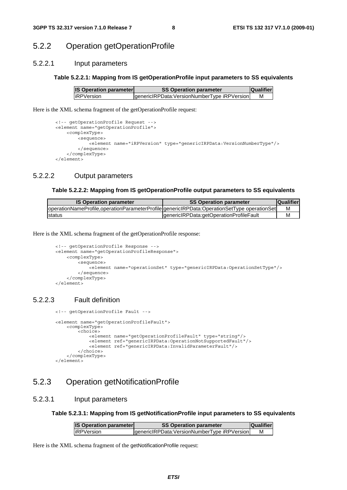#### 5.2.2 Operation getOperationProfile

#### 5.2.2.1 Input parameters

#### **Table 5.2.2.1: Mapping from IS getOperationProfile input parameters to SS equivalents**

| <b>IS Operation parameter</b> | <b>SS Operation parameter</b>                | <b>Qualifier</b> |  |
|-------------------------------|----------------------------------------------|------------------|--|
| liRPVersion                   | genericIRPData: VersionNumberType iRPVersion | м                |  |

Here is the XML schema fragment of the getOperationProfile request:

```
<!-- getOperationProfile Request --> 
<element name="getOperationProfile"> 
     <complexType> 
         <sequence> 
             <element name="iRPVersion" type="genericIRPData:VersionNumberType"/> 
         </sequence> 
     </complexType> 
</element>
```
#### 5.2.2.2 Output parameters

#### **Table 5.2.2.2: Mapping from IS getOperationProfile output parameters to SS equivalents**

| <b>IS Operation parameter</b>                                                               | <b>SS Operation parameter</b>           | <b>Qualifier</b> |
|---------------------------------------------------------------------------------------------|-----------------------------------------|------------------|
| operationNameProfile,operationParameterProfile genericIRPData:OperationSetType operationSet |                                         |                  |
| status                                                                                      | genericlRPData:getOperationProfileFault | M                |

Here is the XML schema fragment of the getOperationProfile response:

```
<!-- getOperationProfile Response --> 
<element name="getOperationProfileResponse"> 
     <complexType> 
         <sequence> 
             <element name="operationSet" type="genericIRPData:OperationSetType"/> 
         </sequence> 
     </complexType> 
</element>
```
#### 5.2.2.3 Fault definition

```
<!-- getOperationProfile Fault -->
 <element name="getOperationProfileFault"> 
     <complexType> 
         <choice> 
             <element name="getOperationProfileFault" type="string"/> 
             <element ref="genericIRPData:OperationNotSupportedFault"/> 
             <element ref="genericIRPData:InvalidParameterFault"/> 
         </choice> 
     </complexType> 
 </element>
```
#### 5.2.3 Operation getNotificationProfile

#### 5.2.3.1 Input parameters

**Table 5.2.3.1: Mapping from IS getNotificationProfile input parameters to SS equivalents** 

| <b>IS Operation parameter</b> | <b>SS Operation parameter</b>               | <b>Qualifier</b> |
|-------------------------------|---------------------------------------------|------------------|
| liRPVersion                   | genericIRPData:VersionNumberType iRPVersion |                  |

Here is the XML schema fragment of the getNotificationProfile request: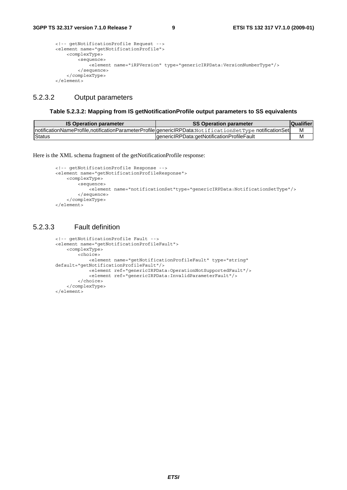```
<!-- getNotificationProfile Request --> 
<element name="getNotificationProfile"> 
     <complexType> 
         <sequence> 
             <element name="iRPVersion" type="genericIRPData:VersionNumberType"/> 
         </sequence> 
     </complexType> 
</element>
```
#### 5.2.3.2 Output parameters

#### **Table 5.2.3.2: Mapping from IS getNotificationProfile output parameters to SS equivalents**

| <b>IS Operation parameter</b> | SS Operation parameter                                                                                   | <b>Qualifier</b> |
|-------------------------------|----------------------------------------------------------------------------------------------------------|------------------|
|                               | InotificationNameProfile,notificationParameterProfile genericlRPData:NotificationSetType notificationSet | м                |
| Status                        | IgenericIRPData:getNotificationProfileFault                                                              | м                |

Here is the XML schema fragment of the getNotificationProfile response:

```
<!-- getNotificationProfile Response --> 
<element name="getNotificationProfileResponse"> 
     <complexType> 
         <sequence> 
             <element name="notificationSet"type="genericIRPData:NotificationSetType"/> 
         </sequence> 
     </complexType> 
</element>
```
#### 5.2.3.3 Fault definition

```
<!-- getNotificationProfile Fault -->
<element name="getNotificationProfileFault"> 
     <complexType> 
         <choice> 
             <element name="getNotificationProfileFault" type="string" 
default="getNotificationProfileFault"/> 
             <element ref="genericIRPData:OperationNotSupportedFault"/> 
             <element ref="genericIRPData:InvalidParameterFault"/> 
         </choice> 
     </complexType> 
</element>
```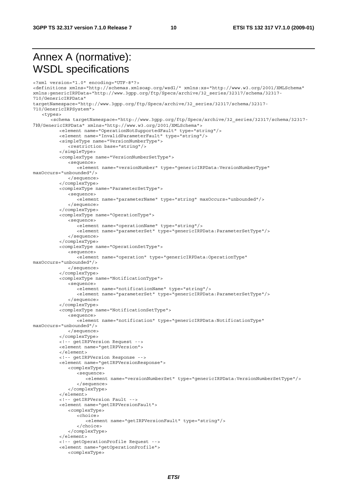### Annex A (normative): WSDL specifications

```
<?xml version="1.0" encoding="UTF-8"?> 
<definitions xmlns="http://schemas.xmlsoap.org/wsdl/" xmlns:xs="http://www.w3.org/2001/XMLSchema" 
xmlns:genericIRPData="http://www.3gpp.org/ftp/Specs/archive/32_series/32317/schema/32317-
710/GenericIRPData" 
targetNamespace="http://www.3gpp.org/ftp/Specs/archive/32_series/32317/schema/32317-
710/GenericIRPSystem"> 
    <types> 
       <schema targetNamespace="http://www.3gpp.org/ftp/Specs/archive/32_series/32317/schema/32317-
710/GenericIRPData" xmlns="http://www.w3.org/2001/XMLSchema"> 
          <element name="OperationNotSupportedFault" type="string"/> 
           <element name="InvalidParameterFault" type="string"/> 
           <simpleType name="VersionNumberType"> 
              <restriction base="string"/> 
           </simpleType> 
           <complexType name="VersionNumberSetType"> 
              <sequence> 
                  <element name="versionNumber" type="genericIRPData:VersionNumberType" 
maxOccurs="unbounded"/> 
              </sequence> 
           </complexType> 
           <complexType name="ParameterSetType"> 
              <sequence> 
                 -<br>
selement name="parameterName" type="string" maxOccurs="unbounded"/>
              </sequence> 
           </complexType> 
           <complexType name="OperationType"> 
              <sequence> 
                  <element name="operationName" type="string"/> 
                  <element name="parameterSet" type="genericIRPData:ParameterSetType"/> 
              </sequence> 
           </complexType> 
           <complexType name="OperationSetType"> 
              <sequence> 
                  <element name="operation" type="genericIRPData:OperationType" 
maxOccurs="unbounded"/> 
              </sequence> 
           </complexType> 
           <complexType name="NotificationType"> 
              <sequence> 
                 <element name="notificationName" type="string"/> 
                  <element name="parameterSet" type="genericIRPData:ParameterSetType"/> 
              </sequence> 
           </complexType> 
           <complexType name="NotificationSetType"> 
              <sequence> 
                 <element name="notification" type="genericIRPData:NotificationType" 
maxOccurs="unbounded"/> 
              </sequence> 
           </complexType> 
           <!-- getIRPVersion Request --> 
           <element name="getIRPVersion"> 
           </element> 
           <!-- getIRPVersion Response --> 
           <element name="getIRPVersionResponse"> 
              <complexType> 
                 <sequence> 
                     <element name="versionNumberSet" type="genericIRPData:VersionNumberSetType"/> 
                 </sequence> 
              </complexType> 
          \epsilon/elements
           <!-- getIRPVersion Fault --> 
           <element name="getIRPVersionFault"> 
              <complexType> 
                  <choice> 
                     <element name="getIRPVersionFault" type="string"/> 
                  </choice> 
              </complexType> 
           </element> 
           <!-- getOperationProfile Request --> 
           <element name="getOperationProfile"> 
              <complexType>
```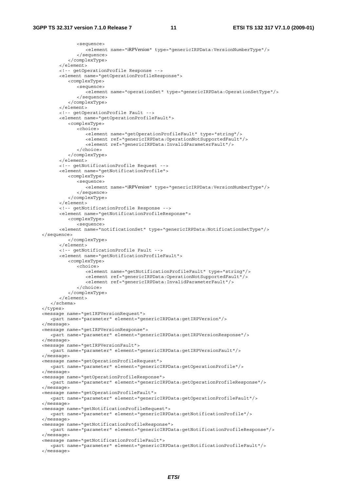```
 <sequence> 
                 <element name="iRPVersion" type="genericIRPData:VersionNumberType"/> 
              </sequence> 
           </complexType> 
       </element> 
       <!-- getOperationProfile Response --> 
       <element name="getOperationProfileResponse"> 
           <complexType> 
              <sequence> 
                 <element name="operationSet" type="genericIRPData:OperationSetType"/> 
              </sequence> 
           </complexType> 
       </element> 
       <!-- getOperationProfile Fault --> 
       <element name="getOperationProfileFault"> 
           <complexType> 
              <choice> 
                 <element name="getOperationProfileFault" type="string"/> 
                 <element ref="genericIRPData:OperationNotSupportedFault"/> 
                 <element ref="genericIRPData:InvalidParameterFault"/> 
              </choice> 
           </complexType> 
       </element> 
       <!-- getNotificationProfile Request --> 
       <element name="getNotificationProfile"> 
           <complexType> 
              <sequence> 
                 <element name="iRPVersion" type="genericIRPData:VersionNumberType"/> 
              </sequence> 
           </complexType> 
       </element> 
       <!-- getNotificationProfile Response --> 
       <element name="getNotificationProfileResponse"> 
           <complexType> 
             <sequence> 
       <element name="notificationSet" type="genericIRPData:NotificationSetType"/> 
 </sequence> 
          </complexType> 
       </element> 
       <!-- getNotificationProfile Fault --> 
       <element name="getNotificationProfileFault"> 
           <complexType> 
              <choice> 
                 <element name="getNotificationProfileFault" type="string"/> 
                 <element ref="genericIRPData:OperationNotSupportedFault"/> 
                 <element ref="genericIRPData:InvalidParameterFault"/> 
              </choice> 
           </complexType> 
      \epsilon/elements
    </schema> 
 </types> 
 <message name="getIRPVersionRequest"> 
    <part name="parameter" element="genericIRPData:getIRPVersion"/> 
 </message> 
 <message name="getIRPVersionResponse"> 
    <part name="parameter" element="genericIRPData:getIRPVersionResponse"/> 
 </message> 
 <message name="getIRPVersionFault"> 
    <part name="parameter" element="genericIRPData:getIRPVersionFault"/> 
 </message> 
 <message name="getOperationProfileRequest"> 
    <part name="parameter" element="genericIRPData:getOperationProfile"/> 
 </message> 
 <message name="getOperationProfileResponse"> 
    <part name="parameter" element="genericIRPData:getOperationProfileResponse"/> 
 </message> 
 <message name="getOperationProfileFault"> 
    <part name="parameter" element="genericIRPData:getOperationProfileFault"/> 
 </message> 
 <message name="getNotificationProfileRequest"> 
    <part name="parameter" element="genericIRPData:getNotificationProfile"/> 
 </message> 
 <message name="getNotificationProfileResponse"> 
    <part name="parameter" element="genericIRPData:getNotificationProfileResponse"/> 
 </message> 
 <message name="getNotificationProfileFault"> 
    <part name="parameter" element="genericIRPData:getNotificationProfileFault"/> 
 </message>
```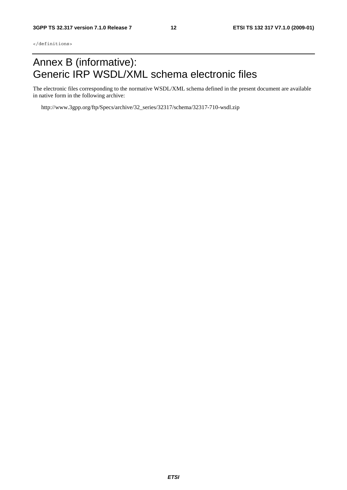### Annex B (informative): Generic IRP WSDL/XML schema electronic files

The electronic files corresponding to the normative WSDL/XML schema defined in the present document are available in native form in the following archive:

http://www.3gpp.org/ftp/Specs/archive/32\_series/32317/schema/32317-710-wsdl.zip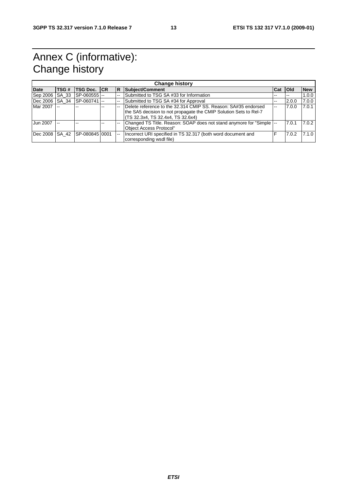### Annex C (informative): Change history

|                | <b>Change history</b> |                     |  |     |                                                                       |     |             |            |
|----------------|-----------------------|---------------------|--|-----|-----------------------------------------------------------------------|-----|-------------|------------|
| <b>Date</b>    | TSG#                  | <b>TSG Doc. ICR</b> |  | IR. | Subject/Comment                                                       | Cat | <b>loid</b> | <b>New</b> |
| Sep 2006 SA 33 |                       | SP-0605551---       |  |     | Submitted to TSG SA #33 for Information                               | --  | $-$         | 1.0.0      |
| Dec 2006 SA 34 |                       | $ SP-060741  -$     |  |     | Submitted to TSG SA #34 for Approval                                  | --  | 2.0.0       | 7.0.0      |
| Mar 2007 --    |                       |                     |  |     | Delete reference to the 32.314 CMIP SS, Reason: SA#35 endorsed        | $-$ | 7.0.0       | 7.0.1      |
|                |                       |                     |  |     | the SA5 decision to not propagate the CMIP Solution Sets to Rel-7     |     |             |            |
|                |                       |                     |  |     | TS 32.3x4, TS 32.4x4, TS 32.6x4)                                      |     |             |            |
| Jun 2007       | $-$                   |                     |  |     | Changed TS Title. Reason: SOAP does not stand anymore for "Simple  -- |     | 7.0.1       | 7.0.2      |
|                |                       |                     |  |     | Obiect Access Protocol"                                               |     |             |            |
| Dec 2008 SA 42 |                       | SP-08084510001      |  |     | Incorrect URI specified in TS 32.317 (both word document and          |     | 7.0.2       | 7.1.0      |
|                |                       |                     |  |     | corresponding wsdl file)                                              |     |             |            |